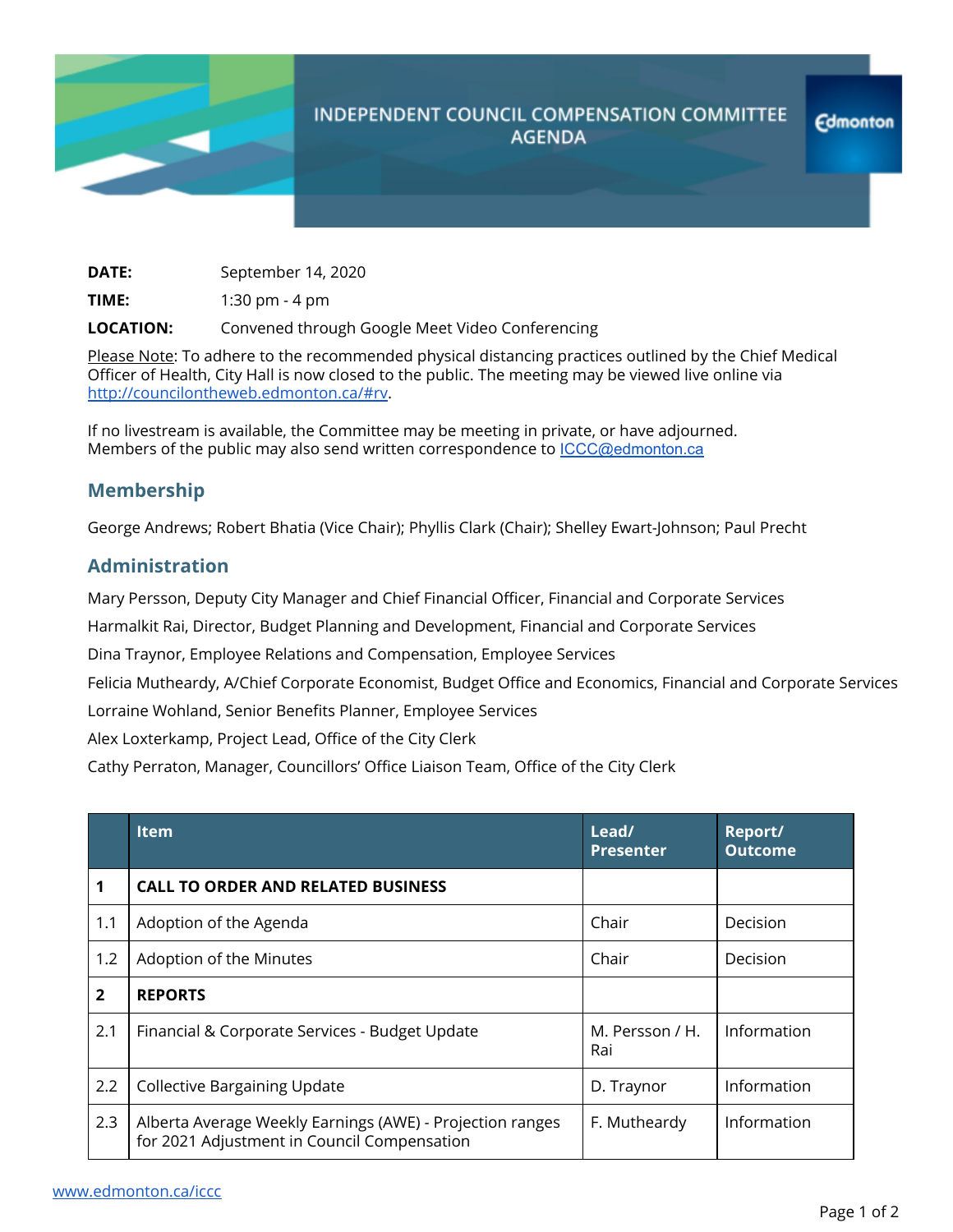

## **INDEPENDENT COUNCIL COMPENSATION COMMITTEE AGENDA**

**DATE:** September 14, 2020

**TIME:** 1:30 pm - 4 pm

**LOCATION:** Convened through Google Meet Video Conferencing

Please Note: To adhere to the recommended physical distancing practices outlined by the Chief Medical Officer of Health, City Hall is now closed to the public. The meeting may be viewed live online via <http://councilontheweb.edmonton.ca/#rv>.

If no livestream is available, the Committee may be meeting in private, or have adjourned. Members of the public may also send written correspondence to [ICCC@edmonton.ca](mailto:ICCC@edmonton.ca)

## **Membership**

George Andrews; Robert Bhatia (Vice Chair); Phyllis Clark (Chair); Shelley Ewart-Johnson; Paul Precht

## **Administration**

Mary Persson, Deputy City Manager and Chief Financial Officer, Financial and Corporate Services

Harmalkit Rai, Director, Budget Planning and Development, Financial and Corporate Services

Dina Traynor, Employee Relations and Compensation, Employee Services

Felicia Mutheardy, A/Chief Corporate Economist, Budget Office and Economics, Financial and Corporate Services Lorraine Wohland, Senior Benefits Planner, Employee Services

Alex Loxterkamp, Project Lead, Office of the City Clerk

Cathy Perraton, Manager, Councillors' Office Liaison Team, Office of the City Clerk

|                | <b>Item</b>                                                                                              | Lead/<br><b>Presenter</b> | Report/<br><b>Outcome</b> |
|----------------|----------------------------------------------------------------------------------------------------------|---------------------------|---------------------------|
| 1              | <b>CALL TO ORDER AND RELATED BUSINESS</b>                                                                |                           |                           |
| 1.1            | Adoption of the Agenda                                                                                   | Chair                     | Decision                  |
| 1.2            | Adoption of the Minutes                                                                                  | Chair                     | Decision                  |
| $\overline{2}$ | <b>REPORTS</b>                                                                                           |                           |                           |
| 2.1            | Financial & Corporate Services - Budget Update                                                           | M. Persson / H.<br>Rai    | Information               |
| 2.2            | <b>Collective Bargaining Update</b>                                                                      | D. Traynor                | Information               |
| 2.3            | Alberta Average Weekly Earnings (AWE) - Projection ranges<br>for 2021 Adjustment in Council Compensation | F. Mutheardy              | Information               |

**Edmonton**